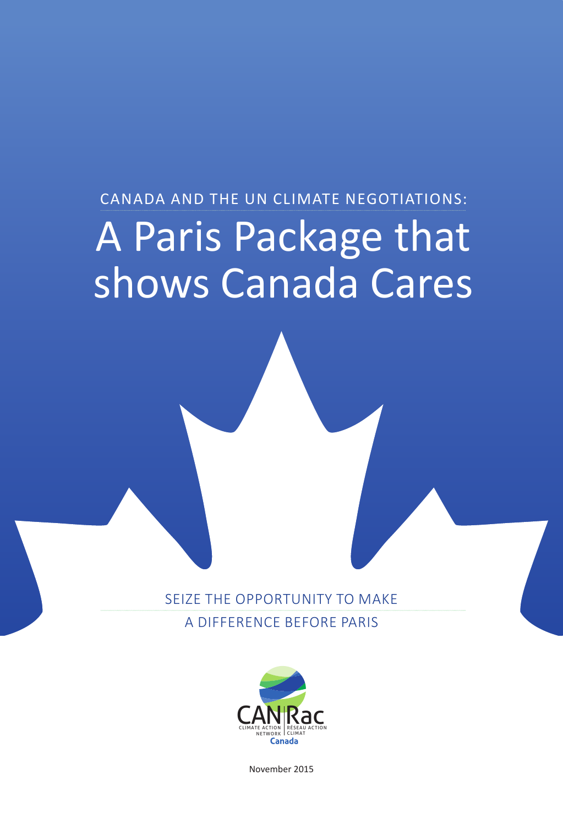### CANADA AND THE UN CLIMATE NEGOTIATIONS: A Paris Package that shows Canada Cares

SEIZE THE OPPORTUNITY TO MAKE A DIFFERENCE BEFORE PARIS



November 2015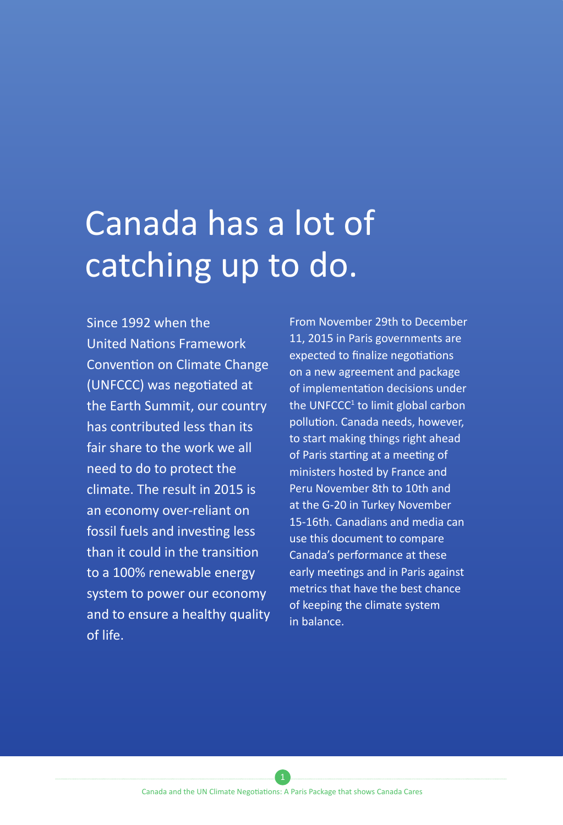### Canada has a lot of catching up to do.

Since 1992 when the United Nations Framework Convention on Climate Change (UNFCCC) was negotiated at the Earth Summit, our country has contributed less than its fair share to the work we all need to do to protect the climate. The result in 2015 is an economy over-reliant on fossil fuels and investing less than it could in the transition to a 100% renewable energy system to power our economy and to ensure a healthy quality of life.

From November 29th to December 11, 2015 in Paris governments are expected to finalize negotiations on a new agreement and package of implementation decisions under the UNFCCC<sup>1</sup> to limit global carbon pollution. Canada needs, however, to start making things right ahead of Paris starting at a meeting of ministers hosted by France and Peru November 8th to 10th and at the G-20 in Turkey November 15-16th. Canadians and media can use this document to compare Canada's performance at these early meetings and in Paris against metrics that have the best chance of keeping the climate system in balance.

Canada and the UN Climate Negotiations: A Paris Package that shows Canada Cares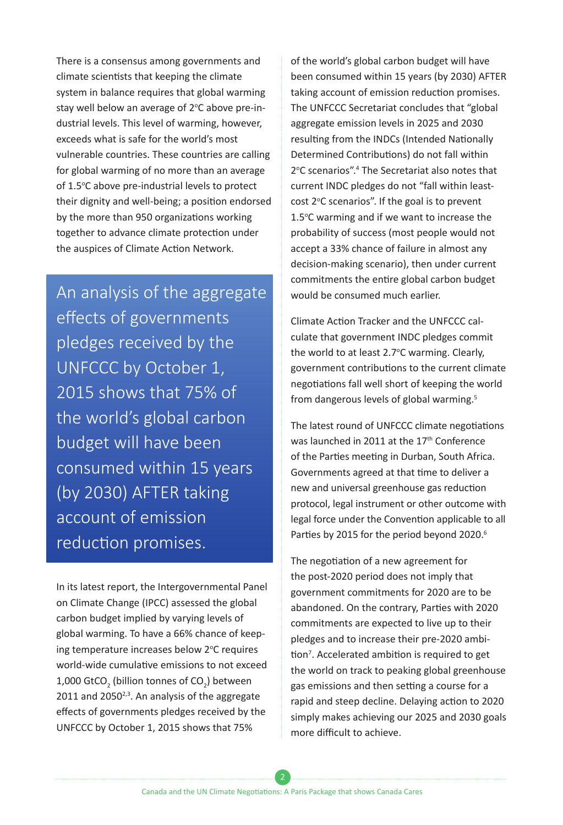There is a consensus among governments and climate scientists that keeping the climate system in balance requires that global warming stay well below an average of 2°C above pre-industrial levels. This level of warming, however, exceeds what is safe for the world's most vulnerable countries. These countries are calling for global warming of no more than an average of 1.5°C above pre-industrial levels to protect their dignity and well-being; a position endorsed by the more than 950 organizations working together to advance climate protection under the auspices of Climate Action Network.

An analysis of the aggregate effects of governments pledges received by the UNFCCC by October 1, 2015 shows that 75% of the world's global carbon budget will have been consumed within 15 years (by 2030) AFTER taking account of emission reduction promises.

In its latest report, the Intergovernmental Panel on Climate Change (IPCC) assessed the global carbon budget implied by varying levels of global warming. To have a 66% chance of keeping temperature increases below 2°C requires world-wide cumulative emissions to not exceed 1,000 GtCO<sub>2</sub> (billion tonnes of CO<sub>2</sub>) between 2011 and 2050 $^{2,3}$ . An analysis of the aggregate effects of governments pledges received by the UNFCCC by October 1, 2015 shows that 75%

of the world's global carbon budget will have been consumed within 15 years (by 2030) AFTER taking account of emission reduction promises. The UNFCCC Secretariat concludes that "global aggregate emission levels in 2025 and 2030 resulting from the INDCs (Intended Nationally Determined Contributions) do not fall within 2°C scenarios".<sup>4</sup> The Secretariat also notes that current INDC pledges do not "fall within leastcost 2°C scenarios". If the goal is to prevent 1.5°C warming and if we want to increase the probability of success (most people would not accept a 33% chance of failure in almost any decision-making scenario), then under current commitments the entire global carbon budget would be consumed much earlier.

Climate Action Tracker and the UNFCCC calculate that government INDC pledges commit the world to at least 2.7°C warming. Clearly, government contributions to the current climate negotiations fall well short of keeping the world from dangerous levels of global warming.<sup>5</sup>

The latest round of UNFCCC climate negotiations was launched in 2011 at the 17<sup>th</sup> Conference of the Parties meeting in Durban, South Africa. Governments agreed at that time to deliver a new and universal greenhouse gas reduction protocol, legal instrument or other outcome with legal force under the Convention applicable to all Parties by 2015 for the period beyond 2020.<sup>6</sup>

The negotiation of a new agreement for the post-2020 period does not imply that government commitments for 2020 are to be abandoned. On the contrary, Parties with 2020 commitments are expected to live up to their pledges and to increase their pre-2020 ambition<sup>7</sup>. Accelerated ambition is required to get the world on track to peaking global greenhouse gas emissions and then setting a course for a rapid and steep decline. Delaying action to 2020 simply makes achieving our 2025 and 2030 goals more difficult to achieve.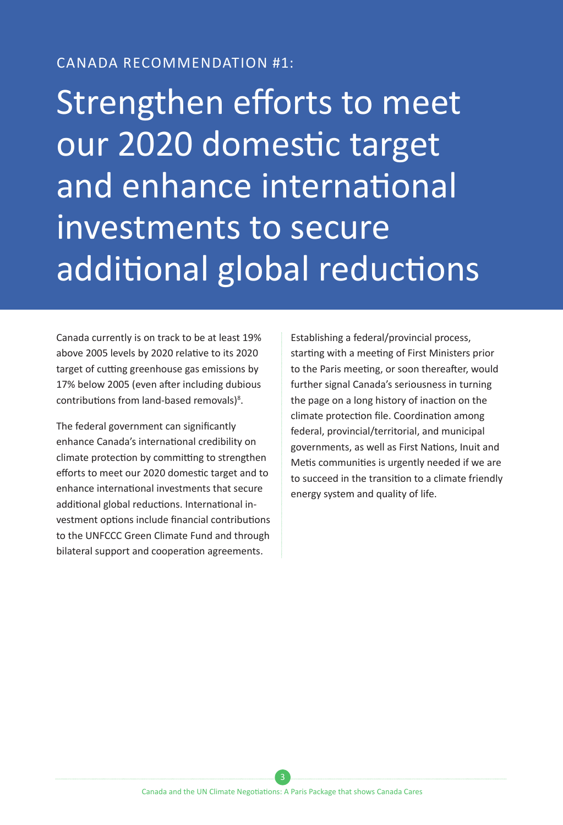#### CANADA RECOMMENDATION #1:

Strengthen efforts to meet our 2020 domestic target and enhance international investments to secure additional global reductions

Canada currently is on track to be at least 19% above 2005 levels by 2020 relative to its 2020 target of cutting greenhouse gas emissions by 17% below 2005 (even after including dubious contributions from land-based removals)<sup>8</sup>.

The federal government can significantly enhance Canada's international credibility on climate protection by committing to strengthen efforts to meet our 2020 domestic target and to enhance international investments that secure additional global reductions. International investment options include financial contributions to the UNFCCC Green Climate Fund and through bilateral support and cooperation agreements.

Establishing a federal/provincial process, starting with a meeting of First Ministers prior to the Paris meeting, or soon thereafter, would further signal Canada's seriousness in turning the page on a long history of inaction on the climate protection file. Coordination among federal, provincial/territorial, and municipal governments, as well as First Nations, Inuit and Metis communities is urgently needed if we are to succeed in the transition to a climate friendly energy system and quality of life.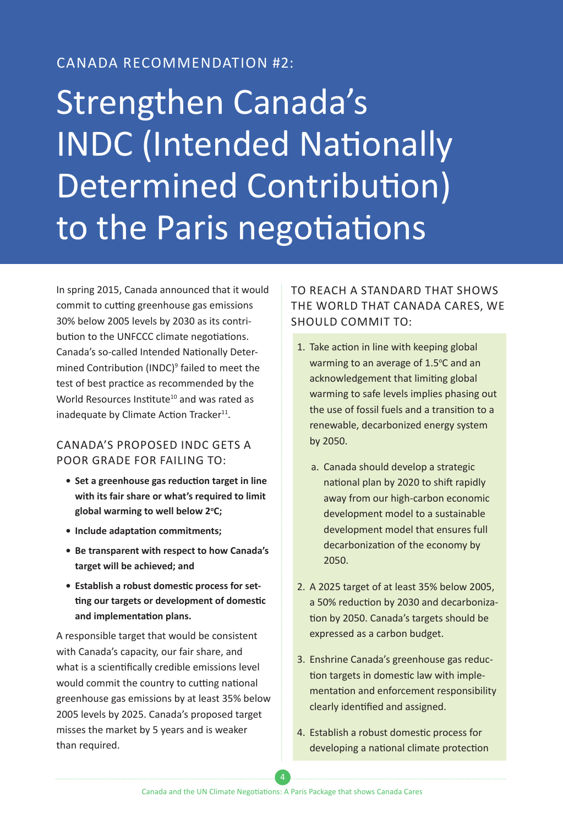### CANADA RECOMMENDATION #2:

# Strengthen Canada's INDC (Intended Nationally Determined Contribution) to the Paris negotiations

In spring 2015, Canada announced that it would commit to cutting greenhouse gas emissions 30% below 2005 levels by 2030 as its contribution to the UNFCCC climate negotiations. Canada's so-called Intended Nationally Determined Contribution (INDC)<sup>9</sup> failed to meet the test of best practice as recommended by the World Resources Institute<sup>10</sup> and was rated as inadequate by Climate Action Tracker $^{11}$ .

#### CANADA'S PROPOSED INDC GETS A POOR GRADE FOR FAILING TO:

- **• Set a greenhouse gas reduction target in line with its fair share or what's required to limit global warming to well below 2o C;**
- **• Include adaptation commitments;**
- **• Be transparent with respect to how Canada's target will be achieved; and**
- **• Establish a robust domestic process for setting our targets or development of domestic and implementation plans.**

A responsible target that would be consistent with Canada's capacity, our fair share, and what is a scientifically credible emissions level would commit the country to cutting national greenhouse gas emissions by at least 35% below 2005 levels by 2025. Canada's proposed target misses the market by 5 years and is weaker than required.

#### TO REACH A STANDARD THAT SHOWS THE WORLD THAT CANADA CARES, WE SHOULD COMMIT TO:

- 1. Take action in line with keeping global warming to an average of 1.5°C and an acknowledgement that limiting global warming to safe levels implies phasing out the use of fossil fuels and a transition to a renewable, decarbonized energy system by 2050.
	- a. Canada should develop a strategic national plan by 2020 to shift rapidly away from our high-carbon economic development model to a sustainable development model that ensures full decarbonization of the economy by 2050.
- 2. A 2025 target of at least 35% below 2005, a 50% reduction by 2030 and decarbonization by 2050. Canada's targets should be expressed as a carbon budget.
- 3. Enshrine Canada's greenhouse gas reduction targets in domestic law with implementation and enforcement responsibility clearly identified and assigned.
- 4. Establish a robust domestic process for developing a national climate protection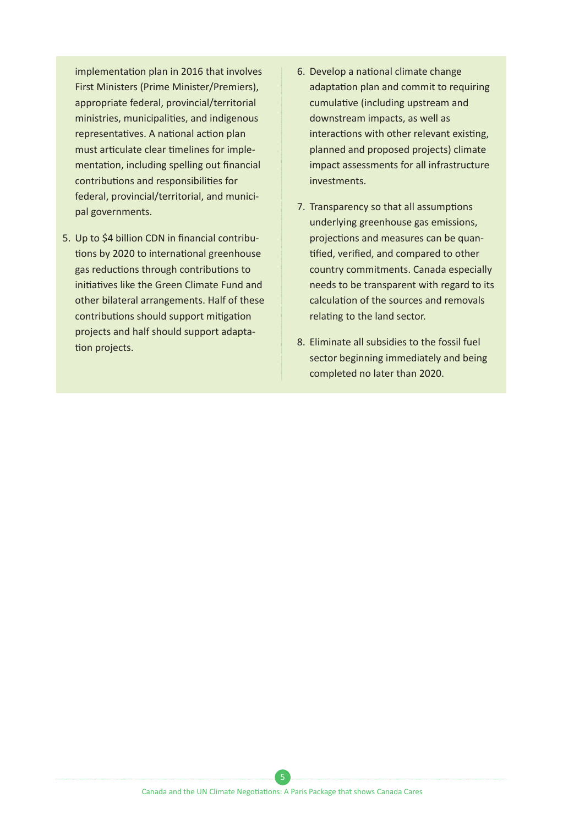implementation plan in 2016 that involves First Ministers (Prime Minister/Premiers), appropriate federal, provincial/territorial ministries, municipalities, and indigenous representatives. A national action plan must articulate clear timelines for implementation, including spelling out financial contributions and responsibilities for federal, provincial/territorial, and municipal governments.

- 5. Up to \$4 billion CDN in financial contributions by 2020 to international greenhouse gas reductions through contributions to initiatives like the Green Climate Fund and other bilateral arrangements. Half of these contributions should support mitigation projects and half should support adaptation projects.
- 6. Develop a national climate change adaptation plan and commit to requiring cumulative (including upstream and downstream impacts, as well as interactions with other relevant existing, planned and proposed projects) climate impact assessments for all infrastructure investments.
- 7. Transparency so that all assumptions underlying greenhouse gas emissions, projections and measures can be quantified, verified, and compared to other country commitments. Canada especially needs to be transparent with regard to its calculation of the sources and removals relating to the land sector.
- 8. Eliminate all subsidies to the fossil fuel sector beginning immediately and being completed no later than 2020.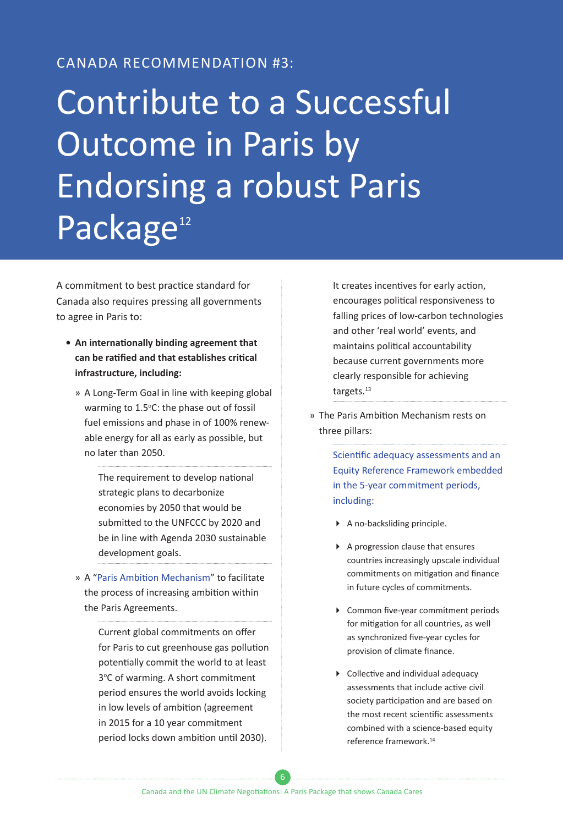#### CANADA RECOMMENDATION #3:

# Contribute to a Successful Outcome in Paris by Endorsing a robust Paris Package<sup>12</sup>

A commitment to best practice standard for Canada also requires pressing all governments to agree in Paris to:

- **• An internationally binding agreement that can be ratified and that establishes critical infrastructure, including:**
	- » A Long-Term Goal in line with keeping global warming to 1.5°C: the phase out of fossil fuel emissions and phase in of 100% renewable energy for all as early as possible, but no later than 2050.

The requirement to develop national strategic plans to decarbonize economies by 2050 that would be submitted to the UNFCCC by 2020 and be in line with Agenda 2030 sustainable development goals.

» A "Paris Ambition Mechanism" to facilitate the process of increasing ambition within the Paris Agreements.

> Current global commitments on offer for Paris to cut greenhouse gas pollution potentially commit the world to at least 3°C of warming. A short commitment period ensures the world avoids locking in low levels of ambition (agreement in 2015 for a 10 year commitment period locks down ambition until 2030).

It creates incentives for early action, encourages political responsiveness to falling prices of low-carbon technologies and other 'real world' events, and maintains political accountability because current governments more clearly responsible for achieving targets.<sup>13</sup>

» The Paris Ambition Mechanism rests on three pillars:

> Scientific adequacy assessments and an Equity Reference Framework embedded in the 5-year commitment periods, including:

- A no-backsliding principle.
- A progression clause that ensures countries increasingly upscale individual commitments on mitigation and finance in future cycles of commitments.
- ▶ Common five-year commitment periods for mitigation for all countries, as well as synchronized five-year cycles for provision of climate finance.
- Collective and individual adequacy assessments that include active civil society participation and are based on the most recent scientific assessments combined with a science-based equity reference framework.<sup>14</sup>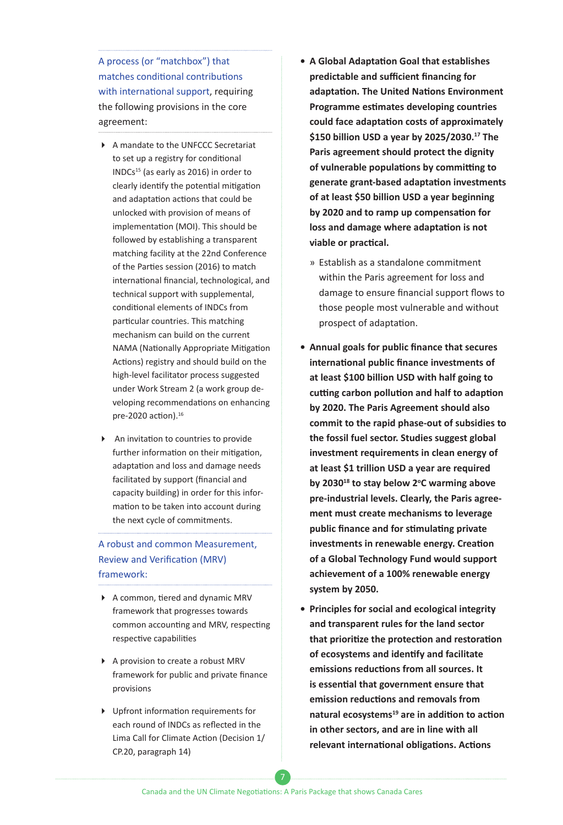A process (or "matchbox") that matches conditional contributions with international support, requiring the following provisions in the core agreement:

- A mandate to the UNFCCC Secretariat to set up a registry for conditional INDCs15 (as early as 2016) in order to clearly identify the potential mitigation and adaptation actions that could be unlocked with provision of means of implementation (MOI). This should be followed by establishing a transparent matching facility at the 22nd Conference of the Parties session (2016) to match international financial, technological, and technical support with supplemental, conditional elements of INDCs from particular countries. This matching mechanism can build on the current NAMA (Nationally Appropriate Mitigation Actions) registry and should build on the high-level facilitator process suggested under Work Stream 2 (a work group developing recommendations on enhancing pre-2020 action).<sup>16</sup>
- An invitation to countries to provide further information on their mitigation, adaptation and loss and damage needs facilitated by support (financial and capacity building) in order for this information to be taken into account during the next cycle of commitments.

#### A robust and common Measurement, Review and Verification (MRV) framework:

- A common, tiered and dynamic MRV framework that progresses towards common accounting and MRV, respecting respective capabilities
- ▶ A provision to create a robust MRV framework for public and private finance provisions
- Upfront information requirements for each round of INDCs as reflected in the Lima Call for Climate Action (Decision 1/ CP.20, paragraph 14)
- **• A Global Adaptation Goal that establishes predictable and sufficient financing for adaptation. The United Nations Environment Programme estimates developing countries could face adaptation costs of approximately \$150 billion USD a year by 2025/2030.<sup>17</sup> The Paris agreement should protect the dignity of vulnerable populations by committing to generate grant-based adaptation investments of at least \$50 billion USD a year beginning by 2020 and to ramp up compensation for loss and damage where adaptation is not viable or practical.**
	- » Establish as a standalone commitment within the Paris agreement for loss and damage to ensure financial support flows to those people most vulnerable and without prospect of adaptation.
- **• Annual goals for public finance that secures international public finance investments of at least \$100 billion USD with half going to cutting carbon pollution and half to adaption by 2020. The Paris Agreement should also commit to the rapid phase-out of subsidies to the fossil fuel sector. Studies suggest global investment requirements in clean energy of at least \$1 trillion USD a year are required by 2030<sup>18</sup> to stay below 2o C warming above pre-industrial levels. Clearly, the Paris agreement must create mechanisms to leverage public finance and for stimulating private investments in renewable energy. Creation of a Global Technology Fund would support achievement of a 100% renewable energy system by 2050.**
- **• Principles for social and ecological integrity and transparent rules for the land sector that prioritize the protection and restoration of ecosystems and identify and facilitate emissions reductions from all sources. It is essential that government ensure that emission reductions and removals from natural ecosystems<sup>19</sup> are in addition to action in other sectors, and are in line with all relevant international obligations. Actions**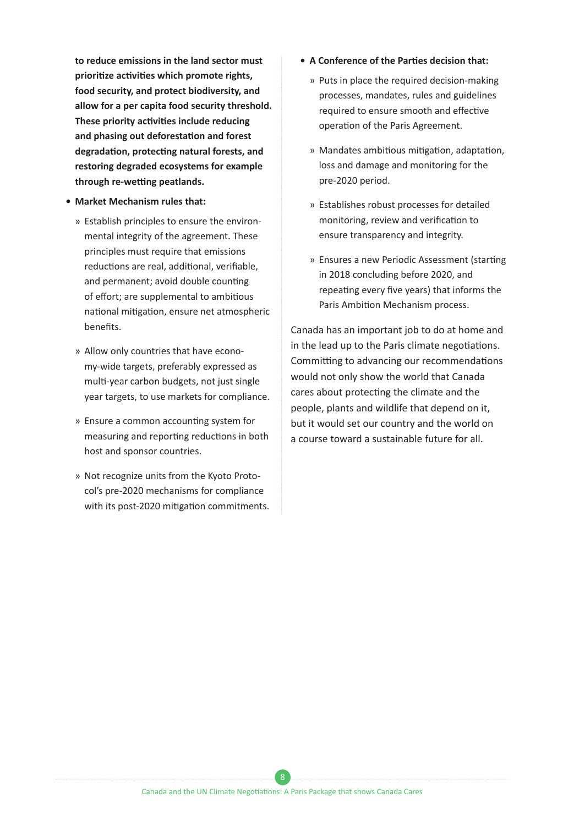**to reduce emissions in the land sector must prioritize activities which promote rights, food security, and protect biodiversity, and allow for a per capita food security threshold. These priority activities include reducing and phasing out deforestation and forest degradation, protecting natural forests, and restoring degraded ecosystems for example through re-wetting peatlands.**

- **• Market Mechanism rules that:**
	- » Establish principles to ensure the environmental integrity of the agreement. These principles must require that emissions reductions are real, additional, verifiable, and permanent; avoid double counting of effort; are supplemental to ambitious national mitigation, ensure net atmospheric benefits.
	- » Allow only countries that have economy-wide targets, preferably expressed as multi-year carbon budgets, not just single year targets, to use markets for compliance.
	- » Ensure a common accounting system for measuring and reporting reductions in both host and sponsor countries.
	- » Not recognize units from the Kyoto Protocol's pre-2020 mechanisms for compliance with its post-2020 mitigation commitments.
- **• A Conference of the Parties decision that:**
	- » Puts in place the required decision-making processes, mandates, rules and guidelines required to ensure smooth and effective operation of the Paris Agreement.
	- » Mandates ambitious mitigation, adaptation, loss and damage and monitoring for the pre-2020 period.
	- » Establishes robust processes for detailed monitoring, review and verification to ensure transparency and integrity.
	- » Ensures a new Periodic Assessment (starting in 2018 concluding before 2020, and repeating every five years) that informs the Paris Ambition Mechanism process.

Canada has an important job to do at home and in the lead up to the Paris climate negotiations. Committing to advancing our recommendations would not only show the world that Canada cares about protecting the climate and the people, plants and wildlife that depend on it, but it would set our country and the world on a course toward a sustainable future for all.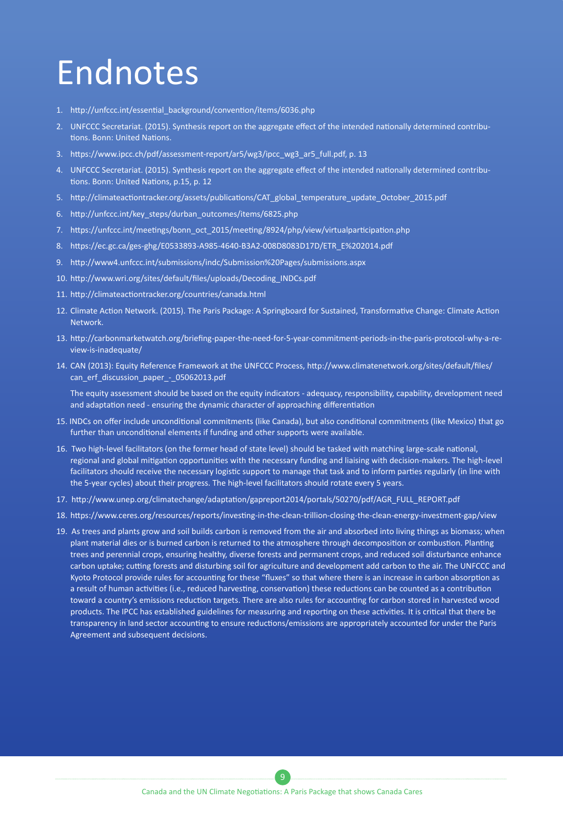### Endnotes

- 1. [http://unfccc.int/essential\\_background/convention/items/6036.php](http://unfccc.int/essential_background/convention/items/6036.php)
- 2. UNFCCC Secretariat. (2015). Synthesis report on the aggregate effect of the intended nationally determined contributions. Bonn: United Nations.
- 3. https://www.ipcc.ch/pdf/assessment-report/ar5/wg3/ipcc\_wg3\_ar5\_full.pdf, p. 13
- 4. UNFCCC Secretariat. (2015). Synthesis report on the aggregate effect of the intended nationally determined contributions. Bonn: United Nations, p.15, p. 12
- 5. http://climateactiontracker.org/assets/publications/CAT\_global\_temperature\_update\_October\_2015.pdf
- 6. http://unfccc.int/key\_steps/durban\_outcomes/items/6825.php
- 7. https://unfccc.int/meetings/bonn\_oct\_2015/meeting/8924/php/view/virtualparticipation.php
- 8. [https://ec.gc.ca/ges-ghg/E0533893-A985-4640-B3A2-008D8083D17D/ETR\\_E%202014.pdf](https://ec.gc.ca/ges-ghg/E0533893-A985-4640-B3A2-008D8083D17D/ETR_E%202014.pdf)
- 9. http://www4.unfccc.int/submissions/indc/Submission%20Pages/submissions.aspx
- 10. http://www.wri.org/sites/default/files/uploads/Decoding\_INDCs.pdf
- 11. http://climateactiontracker.org/countries/canada.html
- 12. Climate Action Network. (2015). The Paris Package: A Springboard for Sustained, Transformative Change: Climate Action Network.
- 13. [http://carbonmarketwatch.org/briefing-paper-the-need-for-5-year-commitment-periods-in-the-paris-protocol-why-a-re](http://carbonmarketwatch.org/briefing-paper-the-need-for-5-year-commitment-periods-in-the-paris-protocol-why-a-review-is-inadequate/)[view-is-inadequate/](http://carbonmarketwatch.org/briefing-paper-the-need-for-5-year-commitment-periods-in-the-paris-protocol-why-a-review-is-inadequate/)
- 14. CAN (2013): Equity Reference Framework at the UNFCCC Process, http://www.climatenetwork.org/sites/default/files/ can\_erf\_discussion\_paper\_-\_05062013.pdf

The equity assessment should be based on the equity indicators - adequacy, responsibility, capability, development need and adaptation need - ensuring the dynamic character of approaching differentiation

- 15. INDCs on offer include unconditional commitments (like Canada), but also conditional commitments (like Mexico) that go further than unconditional elements if funding and other supports were available.
- 16. Two high-level facilitators (on the former head of state level) should be tasked with matching large-scale national, regional and global mitigation opportunities with the necessary funding and liaising with decision-makers. The high-level facilitators should receive the necessary logistic support to manage that task and to inform parties regularly (in line with the 5-year cycles) about their progress. The high-level facilitators should rotate every 5 years.
- 17. http://www.unep.org/climatechange/adaptation/gapreport2014/portals/50270/pdf/AGR\_FULL\_REPORT.pdf
- 18. <https://www.ceres.org/resources/reports/investing-in-the-clean-trillion-closing-the-clean-energy-investment-gap/view>
- 19. As trees and plants grow and soil builds carbon is removed from the air and absorbed into living things as biomass; when plant material dies or is burned carbon is returned to the atmosphere through decomposition or combustion. Planting trees and perennial crops, ensuring healthy, diverse forests and permanent crops, and reduced soil disturbance enhance carbon uptake; cutting forests and disturbing soil for agriculture and development add carbon to the air. The UNFCCC and Kyoto Protocol provide rules for accounting for these "fluxes" so that where there is an increase in carbon absorption as a result of human activities (i.e., reduced harvesting, conservation) these reductions can be counted as a contribution toward a country's emissions reduction targets. There are also rules for accounting for carbon stored in harvested wood products. The IPCC has established guidelines for measuring and reporting on these activities. It is critical that there be transparency in land sector accounting to ensure reductions/emissions are appropriately accounted for under the Paris Agreement and subsequent decisions.